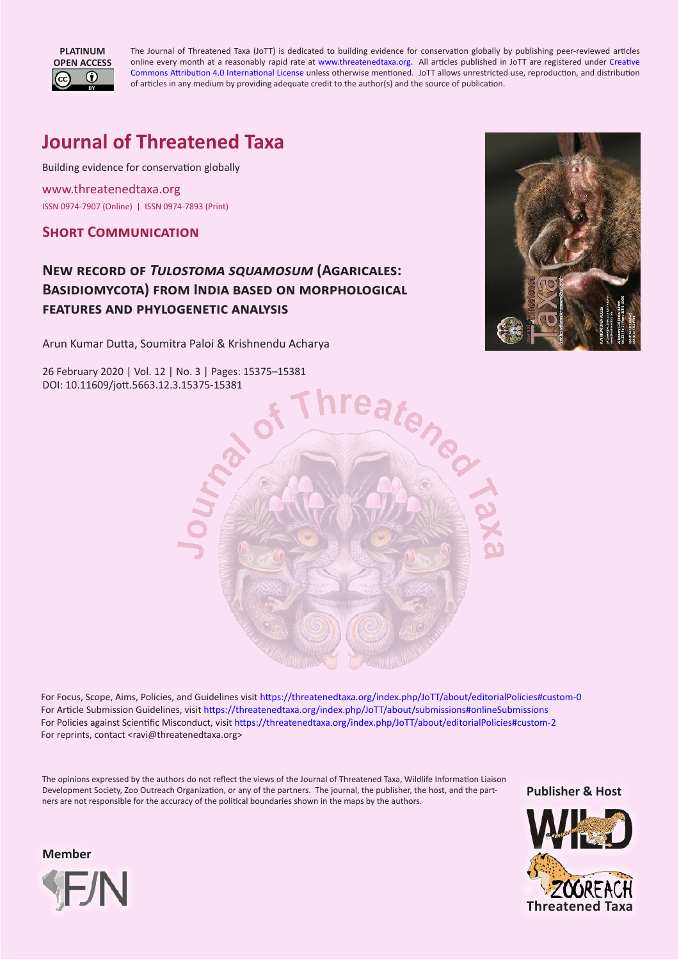

The Journal of Threatened Taxa (JoTT) is dedicated to building evidence for conservation globally by publishing peer-reviewed articles online every month at a reasonably rapid rate at [www.threatenedtaxa.org](https://www.threatenedtaxa.org/). All articles published in JoTT are registered under [Creative](http://creativecommons.org/licenses/by/4.0/) [Commons Attribution 4.0 International License](http://creativecommons.org/licenses/by/4.0/) unless otherwise mentioned. JoTT allows unrestricted use, reproduction, and distribution of articles in any medium by providing adequate credit to the author(s) and the source of publication.

# **Journal of Threatened Taxa**

Building evidence for conservation globally

[www.threatenedtaxa.org](https://threatenedtaxa.org) ISSN 0974-7907 (Online) | ISSN 0974-7893 (Print)

# **Short Communication**

# **New record of** *Tulostoma squamosum* **(Agaricales: Basidiomycota) from India based on morphological features and phylogenetic analysis**

Arun Kumar Dutta, Soumitra Paloi & Krishnendu Acharya

26 February 2020 | Vol. 12 | No. 3 | Pages: 15375–15381 DOI: 10.11609/jott.5663.12.3.15375-15381





[For Focus, Scope, Aims, Policies, and Guidelines visit https://threatenedtaxa.org/index.php/JoTT/about/editorialPolicies#custom-0](https://threatenedtaxa.org/index.php/JoTT/about/submissions#onlineSubmissions) [For Article Submission Guidelines, visit https://threatenedtaxa.org/index.php/JoTT/about/submissions#onlineSubmissions](https://threatenedtaxa.org/index.php/JoTT/about/submissions#onlineSubmissions)  [For Policies against Scientific Misconduct, visit https://threatenedtaxa.org/index.php/JoTT/about/editorialPolicies#custom-2](https://threatenedtaxa.org/index.php/JoTT/about/submissions#onlineSubmissions) For reprints, contact <ravi@threatenedtaxa.org>

The opinions expressed by the authors do not reflect the views of the Journal of Threatened Taxa, Wildlife Information Liaison Development Society, Zoo Outreach Organization, or any of the partners. The journal, the publisher, the host, and the partners are not responsible for the accuracy of the political boundaries shown in the maps by the authors.

**Publisher & Host**



**Member**

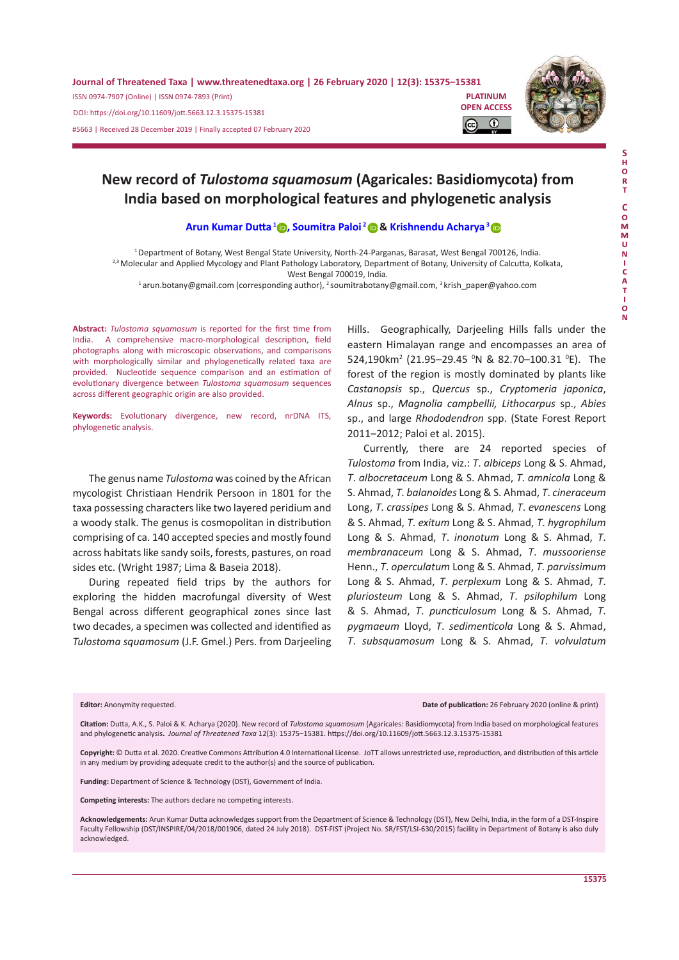

# **New record of** *Tulostoma squamosum* **(Agaricales: Basidiomycota) from India based on morphological features and phylogenetic analysis**

#### **[Arun Kumar Dutta](https://orcid.org/0000-0003-3980-9168)<sup>1</sup>, [Soumitra Paloi](https://orcid.org/0000-0003-1193-1823)<sup>2</sup>& [Krishnendu Acharya](https://orcid.org/0000-0001-5234-3441)<sup>3</sup>**

<sup>1</sup>Department of Botany, West Bengal State University, North-24-Parganas, Barasat, West Bengal 700126, India. <sup>2,3</sup> Molecular and Applied Mycology and Plant Pathology Laboratory, Department of Botany, University of Calcutta, Kolkata,

West Bengal 700019, India.

<sup>1</sup>arun.botany@gmail.com (corresponding author), <sup>2</sup>soumitrabotany@gmail.com, <sup>3</sup>krish\_paper@yahoo.com

**Abstract:** *Tulostoma squamosum* is reported for the first time from India. A comprehensive macro-morphological description, field photographs along with microscopic observations, and comparisons with morphologically similar and phylogenetically related taxa are provided. Nucleotide sequence comparison and an estimation of evolutionary divergence between *Tulostoma squamosum* sequences across different geographic origin are also provided.

**Keywords:** Evolutionary divergence, new record, nrDNA ITS, phylogenetic analysis.

The genus name *Tulostoma* was coined by the African mycologist Christiaan Hendrik Persoon in 1801 for the taxa possessing characters like two layered peridium and a woody stalk. The genus is cosmopolitan in distribution comprising of ca. 140 accepted species and mostly found across habitats like sandy soils, forests, pastures, on road sides etc. (Wright 1987; Lima & Baseia 2018).

During repeated field trips by the authors for exploring the hidden macrofungal diversity of West Bengal across different geographical zones since last two decades, a specimen was collected and identified as *Tulostoma squamosum* (J.F. Gmel.) Pers. from Darjeeling

Hills. Geographically, Darjeeling Hills falls under the eastern Himalayan range and encompasses an area of 524,190km<sup>2</sup> (21.95-29.45 <sup>o</sup>N & 82.70-100.31 <sup>o</sup>E). The forest of the region is mostly dominated by plants like *Castanopsis* sp., *Quercus* sp., *Cryptomeria japonica*, *Alnus* sp., *Magnolia campbellii, Lithocarpus* sp., *Abies* sp., and large *Rhododendron* spp. (State Forest Report 2011-2012; Paloi et al. 2015).

Currently, there are 24 reported species of *Tulostoma* from India, viz.: *T*. *albiceps* Long & S. Ahmad, *T*. *albocretaceum* Long & S. Ahmad, *T*. *amnicola* Long & S. Ahmad, *T*. *balanoides* Long & S. Ahmad, *T*. *cineraceum* Long, *T*. *crassipes* Long & S. Ahmad, *T*. *evanescens* Long & S. Ahmad, *T*. *exitum* Long & S. Ahmad, *T*. *hygrophilum* Long & S. Ahmad, *T*. *inonotum* Long & S. Ahmad, *T*. *membranaceum* Long & S. Ahmad, *T*. *mussooriense* Henn., *T*. *operculatum* Long & S. Ahmad, *T*. *parvissimum* Long & S. Ahmad, *T*. *perplexum* Long & S. Ahmad, *T*. *pluriosteum* Long & S. Ahmad, *T*. *psilophilum* Long & S. Ahmad, *T*. *puncticulosum* Long & S. Ahmad, *T*. *pygmaeum* Lloyd, *T*. *sedimenticola* Long & S. Ahmad, *T*. *subsquamosum* Long & S. Ahmad, *T*. *volvulatum*

Editor: Anonymity requested. **Date of publication:** 26 February 2020 (online & print)

**Citation:** Dutta, A.K., S. Paloi & K. Acharya (2020). New record of *Tulostoma squamosum* (Agaricales: Basidiomycota) from India based on morphological features and phylogenetic analysis**.** *Journal of Threatened Taxa* 12(3): 15375–15381. [https://doi.org/10.11609/jott.](https://doi.org/10.11609/jott.5663.12.3.15375-15381)5663.12.3.15375-15381

**Copyright:** © Dutta et al. 2020. Creative Commons Attribution 4.0 International License. JoTT allows unrestricted use, reproduction, and distribution of this article in any medium by providing adequate credit to the author(s) and the source of publication.

**Funding:** Department of Science & Technology (DST), Government of India.

**Competing interests:** The authors declare no competing interests.

**Acknowledgements:** Arun Kumar Dutta acknowledges support from the Department of Science & Technology (DST), New Delhi, India, in the form of a DST-Inspire Faculty Fellowship (DST/INSPIRE/04/2018/001906, dated 24 July 2018). DST-FIST (Project No. SR/FST/LSI-630/2015) facility in Department of Botany is also duly acknowledged.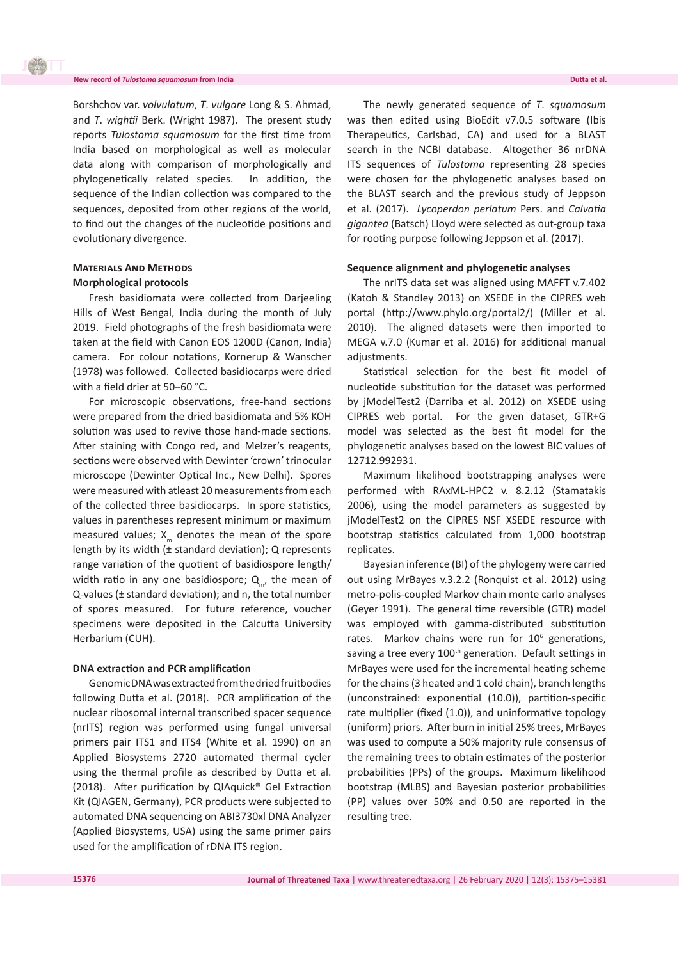Borshchov var. *volvulatum*, *T*. *vulgare* Long & S. Ahmad, and *T*. *wightii* Berk. (Wright 1987). The present study reports *Tulostoma squamosum* for the first time from India based on morphological as well as molecular data along with comparison of morphologically and phylogenetically related species. In addition, the sequence of the Indian collection was compared to the sequences, deposited from other regions of the world, to find out the changes of the nucleotide positions and evolutionary divergence.

## **Materials And Methods Morphological protocols**

Fresh basidiomata were collected from Darjeeling Hills of West Bengal, India during the month of July 2019. Field photographs of the fresh basidiomata were taken at the field with Canon EOS 1200D (Canon, India) camera. For colour notations, Kornerup & Wanscher (1978) was followed. Collected basidiocarps were dried with a field drier at 50–60 °C.

For microscopic observations, free-hand sections were prepared from the dried basidiomata and 5% KOH solution was used to revive those hand-made sections. After staining with Congo red, and Melzer's reagents, sections were observed with Dewinter 'crown' trinocular microscope (Dewinter Optical Inc., New Delhi). Spores were measured with atleast 20 measurements from each of the collected three basidiocarps. In spore statistics, values in parentheses represent minimum or maximum measured values;  $X_{m}$  denotes the mean of the spore length by its width (± standard deviation); Q represents range variation of the quotient of basidiospore length/ width ratio in any one basidiospore;  $Q_{m}$ , the mean of Q-values (± standard deviation); and n, the total number of spores measured. For future reference, voucher specimens were deposited in the Calcutta University Herbarium (CUH).

#### **DNA extraction and PCR amplification**

Genomic DNA was extracted from the dried fruitbodies following Dutta et al. (2018). PCR amplification of the nuclear ribosomal internal transcribed spacer sequence (nrITS) region was performed using fungal universal primers pair ITS1 and ITS4 (White et al. 1990) on an Applied Biosystems 2720 automated thermal cycler using the thermal profile as described by Dutta et al. (2018). After purification by QIAquick® Gel Extraction Kit (QIAGEN, Germany), PCR products were subjected to automated DNA sequencing on ABI3730xl DNA Analyzer (Applied Biosystems, USA) using the same primer pairs used for the amplification of rDNA ITS region.

The newly generated sequence of *T*. *squamosum* was then edited using BioEdit v7.0.5 software (Ibis Therapeutics, Carlsbad, CA) and used for a BLAST search in the NCBI database. Altogether 36 nrDNA ITS sequences of *Tulostoma* representing 28 species were chosen for the phylogenetic analyses based on the BLAST search and the previous study of Jeppson et al. (2017). *Lycoperdon perlatum* Pers. and *Calvatia gigantea* (Batsch) Lloyd were selected as out-group taxa for rooting purpose following Jeppson et al. (2017).

#### **Sequence alignment and phylogenetic analyses**

The nrITS data set was aligned using MAFFT v.7.402 (Katoh & Standley 2013) on XSEDE in the CIPRES web portal (http://www.phylo.org/portal2/) (Miller et al. 2010). The aligned datasets were then imported to MEGA v.7.0 (Kumar et al. 2016) for additional manual adjustments.

Statistical selection for the best fit model of nucleotide substitution for the dataset was performed by jModelTest2 (Darriba et al. 2012) on XSEDE using CIPRES web portal. For the given dataset, GTR+G model was selected as the best fit model for the phylogenetic analyses based on the lowest BIC values of 12712.992931.

Maximum likelihood bootstrapping analyses were performed with RAxML-HPC2 v. 8.2.12 (Stamatakis 2006), using the model parameters as suggested by jModelTest2 on the CIPRES NSF XSEDE resource with bootstrap statistics calculated from 1,000 bootstrap replicates.

Bayesian inference (BI) of the phylogeny were carried out using MrBayes v.3.2.2 (Ronquist et al. 2012) using metro-polis-coupled Markov chain monte carlo analyses (Geyer 1991). The general time reversible (GTR) model was employed with gamma-distributed substitution rates. Markov chains were run for 10<sup>6</sup> generations, saving a tree every 100<sup>th</sup> generation. Default settings in MrBayes were used for the incremental heating scheme for the chains (3 heated and 1 cold chain), branch lengths (unconstrained: exponential (10.0)), partition-specific rate multiplier (fixed (1.0)), and uninformative topology (uniform) priors. After burn in initial 25% trees, MrBayes was used to compute a 50% majority rule consensus of the remaining trees to obtain estimates of the posterior probabilities (PPs) of the groups. Maximum likelihood bootstrap (MLBS) and Bayesian posterior probabilities (PP) values over 50% and 0.50 are reported in the resulting tree.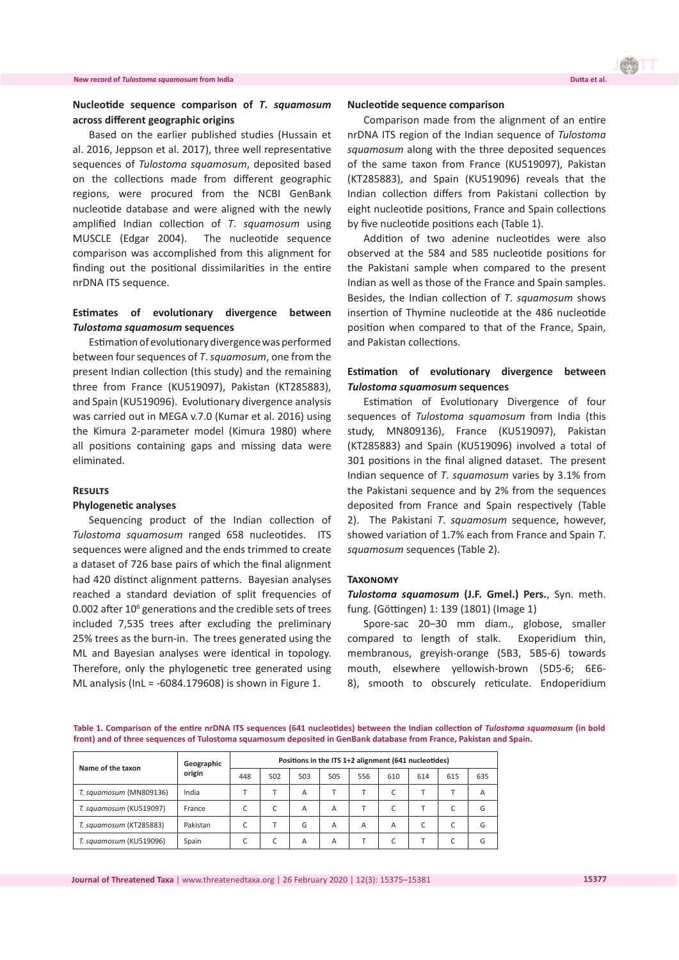#### **New record of** *Tulostoma squamosum* **from India**

# **Nucleotide sequence comparison of** *T***.** *squamosum* **across different geographic origins**

Based on the earlier published studies (Hussain et al. 2016, Jeppson et al. 2017), three well representative sequences of *Tulostoma squamosum*, deposited based on the collections made from different geographic regions, were procured from the NCBI GenBank nucleotide database and were aligned with the newly amplified Indian collection of *T*. *squamosum* using MUSCLE (Edgar 2004). The nucleotide sequence comparison was accomplished from this alignment for finding out the positional dissimilarities in the entire nrDNA ITS sequence.

## **Estimates of evolutionary divergence between**  *Tulostoma squamosum* **sequences**

Estimation of evolutionary divergence was performed between four sequences of *T*. *squamosum*, one from the present Indian collection (this study) and the remaining three from France (KU519097), Pakistan (KT285883), and Spain (KU519096). Evolutionary divergence analysis was carried out in MEGA v.7.0 (Kumar et al. 2016) using the Kimura 2-parameter model (Kimura 1980) where all positions containing gaps and missing data were eliminated.

#### **Results**

#### **Phylogenetic analyses**

Sequencing product of the Indian collection of *Tulostoma squamosum* ranged 658 nucleotides. ITS sequences were aligned and the ends trimmed to create a dataset of 726 base pairs of which the final alignment had 420 distinct alignment patterns. Bayesian analyses reached a standard deviation of split frequencies of 0.002 after  $10^6$  generations and the credible sets of trees included 7,535 trees after excluding the preliminary 25% trees as the burn-in. The trees generated using the ML and Bayesian analyses were identical in topology. Therefore, only the phylogenetic tree generated using ML analysis (InL = -6084.179608) is shown in Figure 1.

#### **Nucleotide sequence comparison**

Comparison made from the alignment of an entire nrDNA ITS region of the Indian sequence of *Tulostoma squamosum* along with the three deposited sequences of the same taxon from France (KU519097), Pakistan (KT285883), and Spain (KU519096) reveals that the Indian collection differs from Pakistani collection by eight nucleotide positions, France and Spain collections by five nucleotide positions each (Table 1).

Addition of two adenine nucleotides were also observed at the 584 and 585 nucleotide positions for the Pakistani sample when compared to the present Indian as well as those of the France and Spain samples. Besides, the Indian collection of *T*. *squamosum* shows insertion of Thymine nucleotide at the 486 nucleotide position when compared to that of the France, Spain, and Pakistan collections.

## **Estimation of evolutionary divergence between**  *Tulostoma squamosum* **sequences**

Estimation of Evolutionary Divergence of four sequences of *Tulostoma squamosum* from India (this study, MN809136), France (KU519097), Pakistan (KT285883) and Spain (KU519096) involved a total of 301 positions in the final aligned dataset. The present Indian sequence of *T*. *squamosum* varies by 3.1% from the Pakistani sequence and by 2% from the sequences deposited from France and Spain respectively (Table 2). The Pakistani *T*. *squamosum* sequence, however, showed variation of 1.7% each from France and Spain *T*. *squamosum* sequences (Table 2).

### **Taxonomy**

*Tulostoma squamosum* **(J.F. Gmel.) Pers.**, Syn. meth. fung. (Göttingen) 1: 139 (1801) (Image 1)

Spore-sac 20–30 mm diam., globose, smaller compared to length of stalk. Exoperidium thin, membranous, greyish-orange (5B3, 5B5-6) towards mouth, elsewhere yellowish-brown (5D5-6; 6E6- 8), smooth to obscurely reticulate. Endoperidium

**Table 1. Comparison of the entire nrDNA ITS sequences (641 nucleotides) between the Indian collection of** *Tulostoma squamosum* **(in bold front) and of three sequences of Tulostoma squamosum deposited in GenBank database from France, Pakistan and Spain.**

| Name of the taxon       | Geographic<br>origin | Positions in the ITS 1+2 alignment (641 nucleotides) |     |     |     |     |     |     |     |     |
|-------------------------|----------------------|------------------------------------------------------|-----|-----|-----|-----|-----|-----|-----|-----|
|                         |                      | 448                                                  | 502 | 503 | 505 | 556 | 610 | 614 | 615 | 635 |
| T. squamosum (MN809136) | India                |                                                      |     | А   |     |     |     |     |     | A   |
| T. squamosum (KU519097) | France               |                                                      |     | А   | A   |     |     |     |     | G   |
| T. squamosum (KT285883) | Pakistan             |                                                      |     | G   | Α   | Α   | А   |     |     | G   |
| T. squamosum (KU519096) | Spain                |                                                      |     | A   | Α   |     |     |     |     | G   |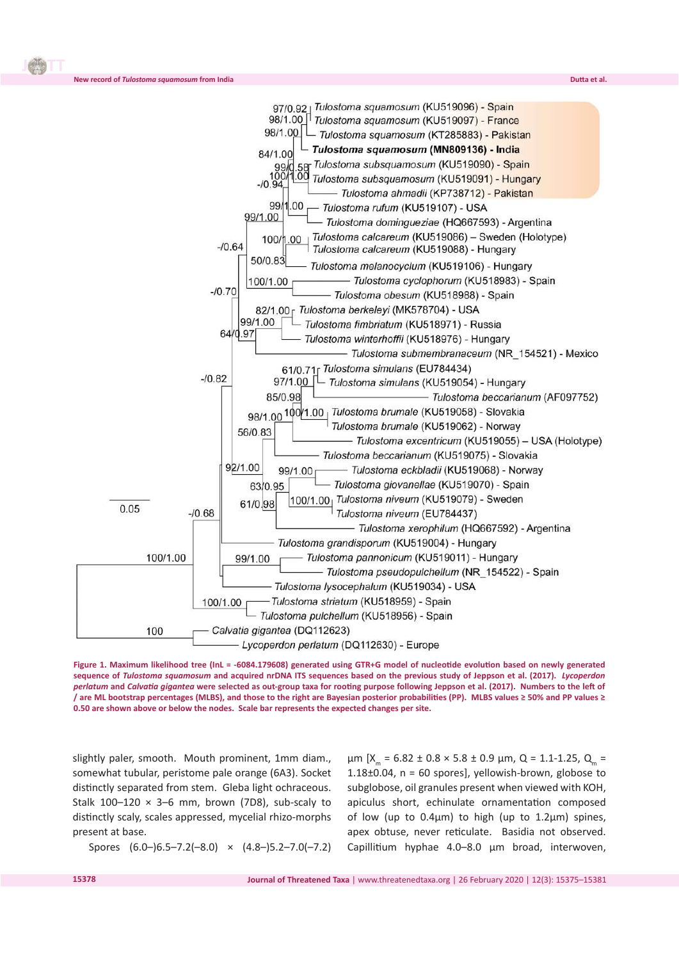

**Figure 1. Maximum likelihood tree (InL = -6084.179608) generated using GTR+G model of nucleotide evolution based on newly generated sequence of** *Tulostoma squamosum* **and acquired nrDNA ITS sequences based on the previous study of Jeppson et al. (2017).** *Lycoperdon perlatum* **and** *Calvatia gigantea* **were selected as out-group taxa for rooting purpose following Jeppson et al. (2017). Numbers to the left of / are ML bootstrap percentages (MLBS), and those to the right are Bayesian posterior probabilities (PP). MLBS values ≥ 50% and PP values ≥ 0.50 are shown above or below the nodes. Scale bar represents the expected changes per site.**

slightly paler, smooth. Mouth prominent, 1mm diam., somewhat tubular, peristome pale orange (6A3). Socket distinctly separated from stem. Gleba light ochraceous. Stalk  $100-120 \times 3-6$  mm, brown (7D8), sub-scaly to distinctly scaly, scales appressed, mycelial rhizo-morphs present at base.

**New record of** *Tulostoma squamosum* **from India** 

**J** 

μm [X<sub>m</sub> = 6.82 ± 0.8 × 5.8 ± 0.9 μm, Q = 1.1-1.25, Q<sub>m</sub> = 1.18 $\pm$ 0.04, n = 60 spores], yellowish-brown, globose to subglobose, oil granules present when viewed with KOH, apiculus short, echinulate ornamentation composed of low (up to  $0.4\mu$ m) to high (up to  $1.2\mu$ m) spines, apex obtuse, never reticulate. Basidia not observed. Capillitium hyphae 4.0–8.0 µm broad, interwoven,

Spores (6.0–)6.5–7.2(–8.0) × (4.8–)5.2–7.0(–7.2)

**15378**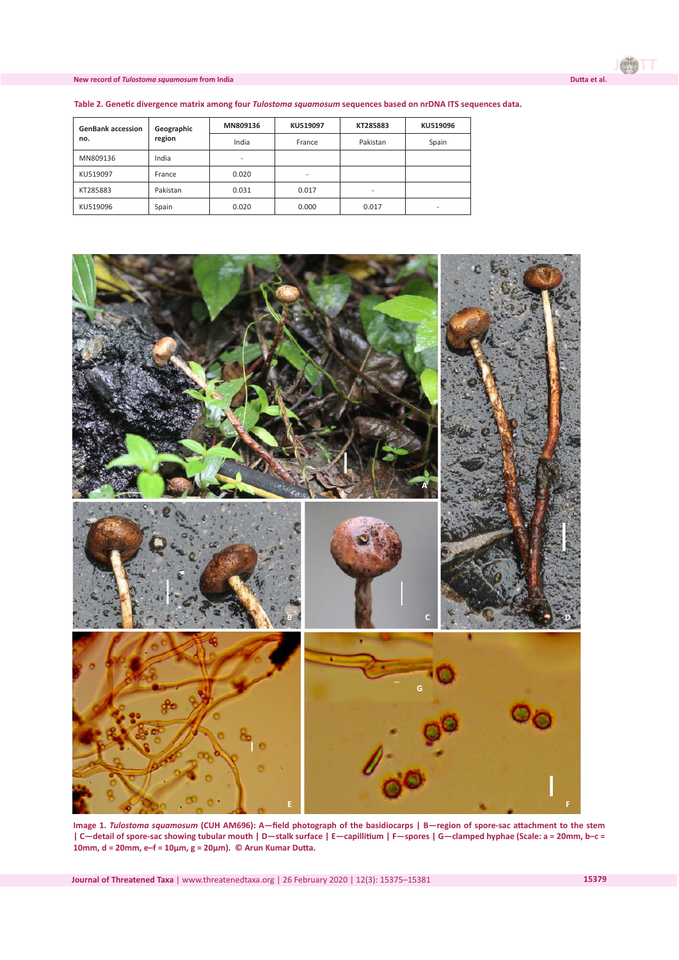#### **New record of** *Tulostoma squamosum* **from India Dutta et al.**

| <b>GenBank accession</b> | Geographic | MN809136                 | KU519097 | KT285883                 | KU519096                 |  |
|--------------------------|------------|--------------------------|----------|--------------------------|--------------------------|--|
| no.                      | region     | India                    | France   | Pakistan                 | Spain                    |  |
| MN809136                 | India      | $\overline{\phantom{a}}$ |          |                          |                          |  |
| KU519097                 | France     | 0.020                    | -        |                          |                          |  |
| KT285883                 | Pakistan   | 0.031                    | 0.017    | $\overline{\phantom{0}}$ |                          |  |
| KU519096                 | Spain      | 0.020                    | 0.000    | 0.017                    | $\overline{\phantom{0}}$ |  |

**Table 2. Genetic divergence matrix among four** *Tulostoma squamosum* **sequences based on nrDNA ITS sequences data.**



**Image 1.** *Tulostoma squamosum* **(CUH AM696): A—field photograph of the basidiocarps | B—region of spore-sac attachment to the stem | C—detail of spore-sac showing tubular mouth | D—stalk surface | E—capillitium | F—spores | G—clamped hyphae (Scale: a = 20mm, b–c = 10mm, d = 20mm, e–f = 10μm, g = 20μm). © Arun Kumar Dutta.**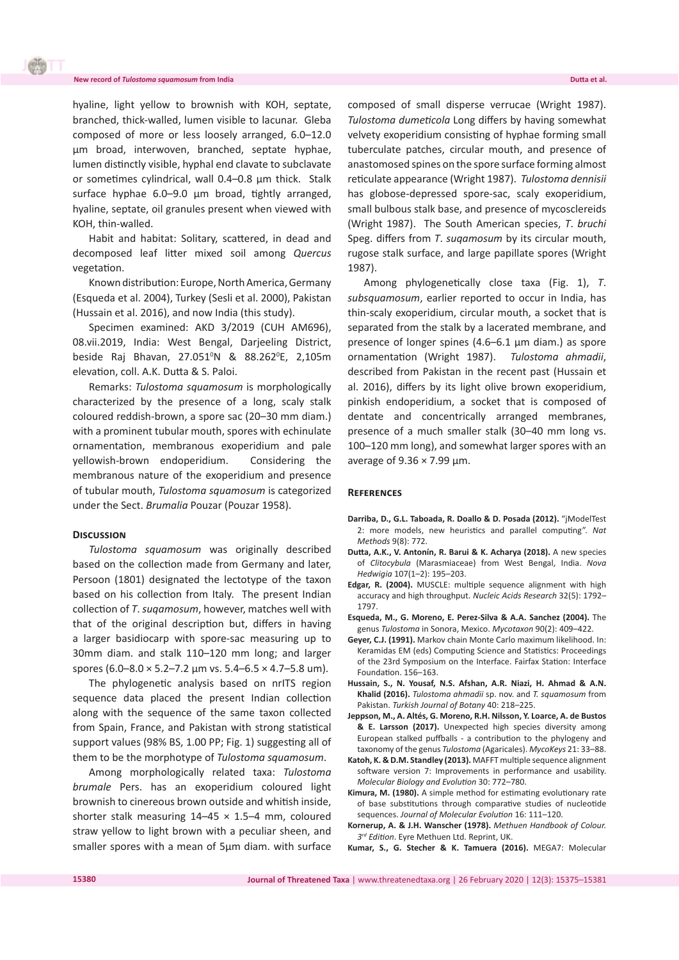#### **New record of** *Tulostoma squamosum* **from India Dutta et al.**

**J** 

hyaline, light yellow to brownish with KOH, septate, branched, thick-walled, lumen visible to lacunar. Gleba composed of more or less loosely arranged, 6.0–12.0 µm broad, interwoven, branched, septate hyphae, lumen distinctly visible, hyphal end clavate to subclavate or sometimes cylindrical, wall 0.4–0.8 µm thick. Stalk surface hyphae 6.0–9.0 µm broad, tightly arranged, hyaline, septate, oil granules present when viewed with KOH, thin-walled.

Habit and habitat: Solitary, scattered, in dead and decomposed leaf litter mixed soil among *Quercus* vegetation.

Known distribution: Europe, North America, Germany (Esqueda et al. 2004), Turkey (Sesli et al. 2000), Pakistan (Hussain et al. 2016), and now India (this study).

Specimen examined: AKD 3/2019 (CUH AM696), 08.vii.2019, India: West Bengal, Darjeeling District, beside Raj Bhavan, 27.051ºN & 88.262ºE, 2,105m elevation, coll. A.K. Dutta & S. Paloi.

Remarks: *Tulostoma squamosum* is morphologically characterized by the presence of a long, scaly stalk coloured reddish-brown, a spore sac (20–30 mm diam.) with a prominent tubular mouth, spores with echinulate ornamentation, membranous exoperidium and pale yellowish-brown endoperidium. Considering the membranous nature of the exoperidium and presence of tubular mouth, *Tulostoma squamosum* is categorized under the Sect. *Brumalia* Pouzar (Pouzar 1958).

#### **Discussion**

*Tulostoma squamosum* was originally described based on the collection made from Germany and later, Persoon (1801) designated the lectotype of the taxon based on his collection from Italy. The present Indian collection of *T*. *suqamosum*, however, matches well with that of the original description but, differs in having a larger basidiocarp with spore-sac measuring up to 30mm diam. and stalk 110–120 mm long; and larger spores (6.0–8.0  $\times$  5.2–7.2 µm vs. 5.4–6.5  $\times$  4.7–5.8 um).

The phylogenetic analysis based on nrITS region sequence data placed the present Indian collection along with the sequence of the same taxon collected from Spain, France, and Pakistan with strong statistical support values (98% BS, 1.00 PP; Fig. 1) suggesting all of them to be the morphotype of *Tulostoma squamosum*.

Among morphologically related taxa: *Tulostoma brumale* Pers. has an exoperidium coloured light brownish to cinereous brown outside and whitish inside, shorter stalk measuring  $14-45 \times 1.5-4$  mm, coloured straw yellow to light brown with a peculiar sheen, and smaller spores with a mean of 5μm diam. with surface

composed of small disperse verrucae (Wright 1987). *Tulostoma dumeticola* Long differs by having somewhat velvety exoperidium consisting of hyphae forming small tuberculate patches, circular mouth, and presence of anastomosed spines on the spore surface forming almost reticulate appearance (Wright 1987). *Tulostoma dennisii* has globose-depressed spore-sac, scaly exoperidium, small bulbous stalk base, and presence of mycosclereids (Wright 1987). The South American species, *T*. *bruchi* Speg. differs from *T*. *suqamosum* by its circular mouth, rugose stalk surface, and large papillate spores (Wright 1987).

Among phylogenetically close taxa (Fig. 1), *T*. *subsquamosum*, earlier reported to occur in India, has thin-scaly exoperidium, circular mouth, a socket that is separated from the stalk by a lacerated membrane, and presence of longer spines (4.6–6.1 μm diam.) as spore ornamentation (Wright 1987). *Tulostoma ahmadii*, described from Pakistan in the recent past (Hussain et al. 2016), differs by its light olive brown exoperidium, pinkish endoperidium, a socket that is composed of dentate and concentrically arranged membranes, presence of a much smaller stalk (30–40 mm long vs. 100–120 mm long), and somewhat larger spores with an average of  $9.36 \times 7.99$  µm.

#### **References**

- **Darriba, D., G.L. Taboada, R. Doallo & D. Posada (2012).** "jModelTest 2: more models, new heuristics and parallel computing". *Nat Methods* 9(8): 772.
- **Dutta, A.K., V. Antonín, R. Barui & K. Acharya (2018).** A new species of *Clitocybula* (Marasmiaceae) from West Bengal, India. *Nova Hedwigia* 107(1–2): 195–203.
- **Edgar, R. (2004).** MUSCLE: multiple sequence alignment with high accuracy and high throughput. *Nucleic Acids Research* 32(5): 1792– 1797.
- **Esqueda, M., G. Moreno, E. Perez-Silva & A.A. Sanchez (2004).** The genus *Tulostoma* in Sonora, Mexico. *Mycotaxon* 90(2): 409–422.
- **Geyer, C.J. (1991).** Markov chain Monte Carlo maximum likelihood. In: Keramidas EM (eds) Computing Science and Statistics: Proceedings of the 23rd Symposium on the Interface. Fairfax Station: Interface Foundation. 156–163.
- **Hussain, S., N. Yousaf, N.S. Afshan, A.R. Niazi, H. Ahmad & A.N. Khalid (2016).** *Tulostoma ahmadii* sp. nov. and *T. squamosum* from Pakistan. *Turkish Journal of Botany* 40: 218–225.
- **Jeppson, M., A. Altés, G. Moreno, R.H. Nilsson, Y. Loarce, A. de Bustos & E. Larsson (2017).** Unexpected high species diversity among European stalked puffballs - a contribution to the phylogeny and taxonomy of the genus *Tulostoma* (Agaricales). *MycoKeys* 21: 33–88.
- **Katoh, K. & D.M. Standley (2013).** MAFFT multiple sequence alignment software version 7: Improvements in performance and usability. *Molecular Biology and Evolution* 30: 772–780.
- **Kimura, M. (1980).** A simple method for estimating evolutionary rate of base substitutions through comparative studies of nucleotide sequences. *Journal of Molecular Evolution* 16: 111–120.
- **Kornerup, A. & J.H. Wanscher (1978).** *Methuen Handbook of Colour. 3 rd Edition*. Eyre Methuen Ltd. Reprint, UK.
- **Kumar, S., G. Stecher & K. Tamuera (2016).** MEGA7: Molecular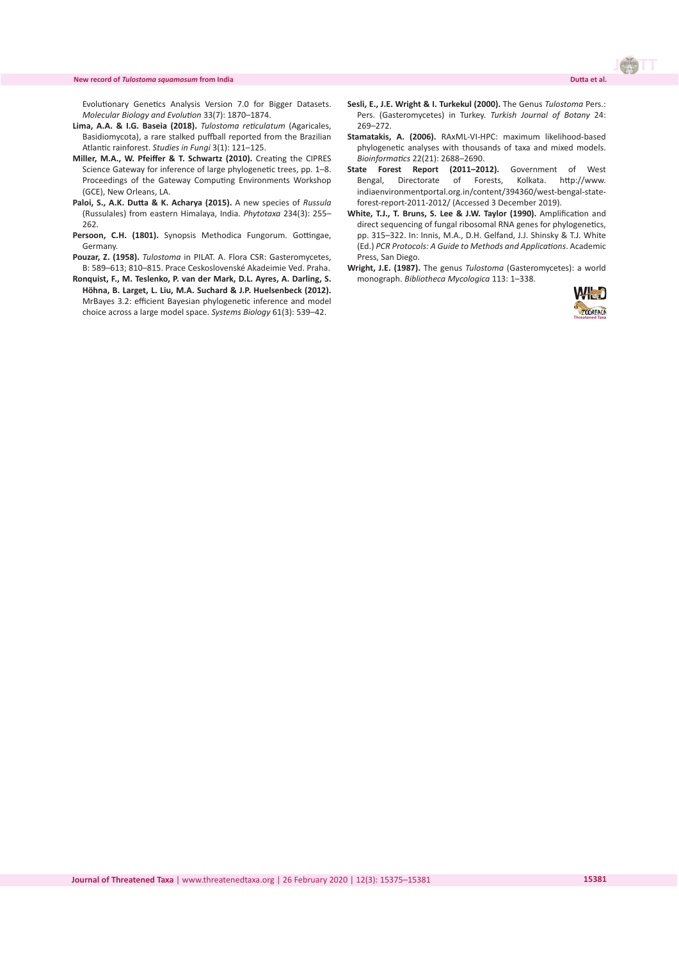#### **New record of** *Tulostoma squamosum* **from India Dutta et al.**

Evolutionary Genetics Analysis Version 7.0 for Bigger Datasets. *Molecular Biology and Evolution* 33(7): 1870–1874.

- **Lima, A.A. & I.G. Baseia (2018).** *Tulostoma reticulatum* (Agaricales, Basidiomycota), a rare stalked puffball reported from the Brazilian Atlantic rainforest. *Studies in Fungi* 3(1): 121–125.
- **Miller, M.A., W. Pfeiffer & T. Schwartz (2010).** Creating the CIPRES Science Gateway for inference of large phylogenetic trees, pp. 1–8. Proceedings of the Gateway Computing Environments Workshop (GCE), New Orleans, LA.
- **Paloi, S., A.K. Dutta & K. Acharya (2015).** A new species of *Russula* (Russulales) from eastern Himalaya, India. *Phytotaxa* 234(3): 255– 262.
- Persoon, C.H. (1801). Synopsis Methodica Fungorum. Gottingae, Germany.
- **Pouzar, Z. (1958).** *Tulostoma* in PILAT. A. Flora CSR: Gasteromycetes, B: 589–613; 810–815. Prace Ceskoslovenské Akadeimie Ved. Praha.
- **Ronquist, F., M. Teslenko, P. van der Mark, D.L. Ayres, A. Darling, S. Höhna, B. Larget, L. Liu, M.A. Suchard & J.P. Huelsenbeck (2012).** MrBayes 3.2: efficient Bayesian phylogenetic inference and model choice across a large model space. *Systems Biology* 61(3): 539–42.
- **Sesli, E., J.E. Wright & I. Turkekul (2000).** The Genus *Tulostoma* Pers.: Pers. (Gasteromycetes) in Turkey. *Turkish Journal of Botany* 24: 269–272.
- **Stamatakis, A. (2006).** RAxML-VI-HPC: maximum likelihood-based phylogenetic analyses with thousands of taxa and mixed models. *Bioinformatics* 22(21): 2688–2690.
- **State Forest Report (2011–2012).** Government of West Bengal, Directorate of Forests, Kolkata. http://www. indiaenvironmentportal.org.in/content/394360/west-bengal-stateforest-report-2011-2012/ (Accessed 3 December 2019).
- **White, T.J., T. Bruns, S. Lee & J.W. Taylor (1990).** Amplification and direct sequencing of fungal ribosomal RNA genes for phylogenetics, pp. 315–322. In: Innis, M.A., D.H. Gelfand, J.J. Shinsky & T.J. White (Ed.) *PCR Protocols: A Guide to Methods and Applications*. Academic Press, San Diego.
- **Wright, J.E. (1987).** The genus *Tulostoma* (Gasteromycetes): a world monograph. *Bibliotheca Mycologica* 113: 1–338.